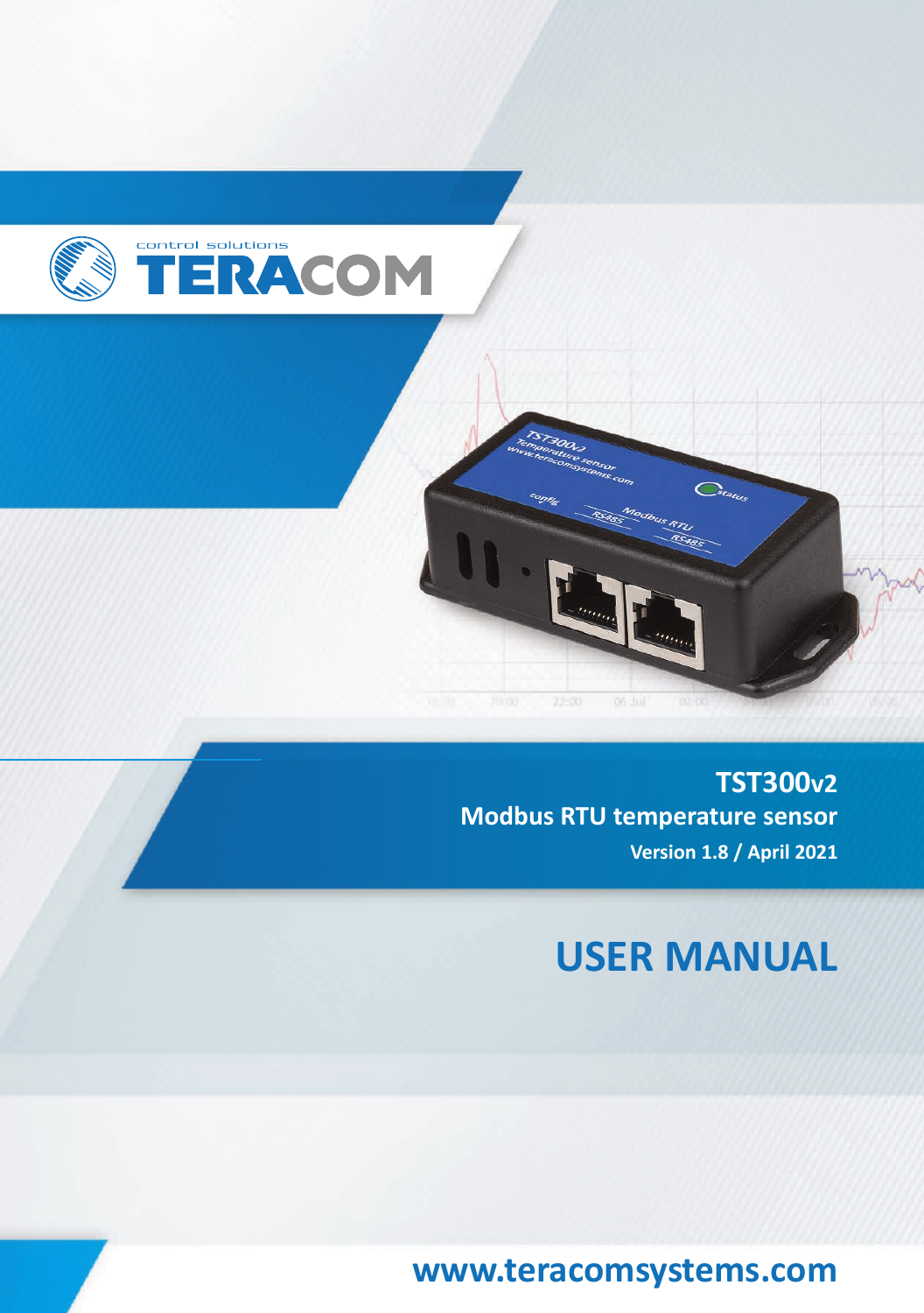

**TST300v2 Modbus RTU temperature sensor Version 1.8 / April 2021**

# **USER MANUAL**

www.teracomsystems.com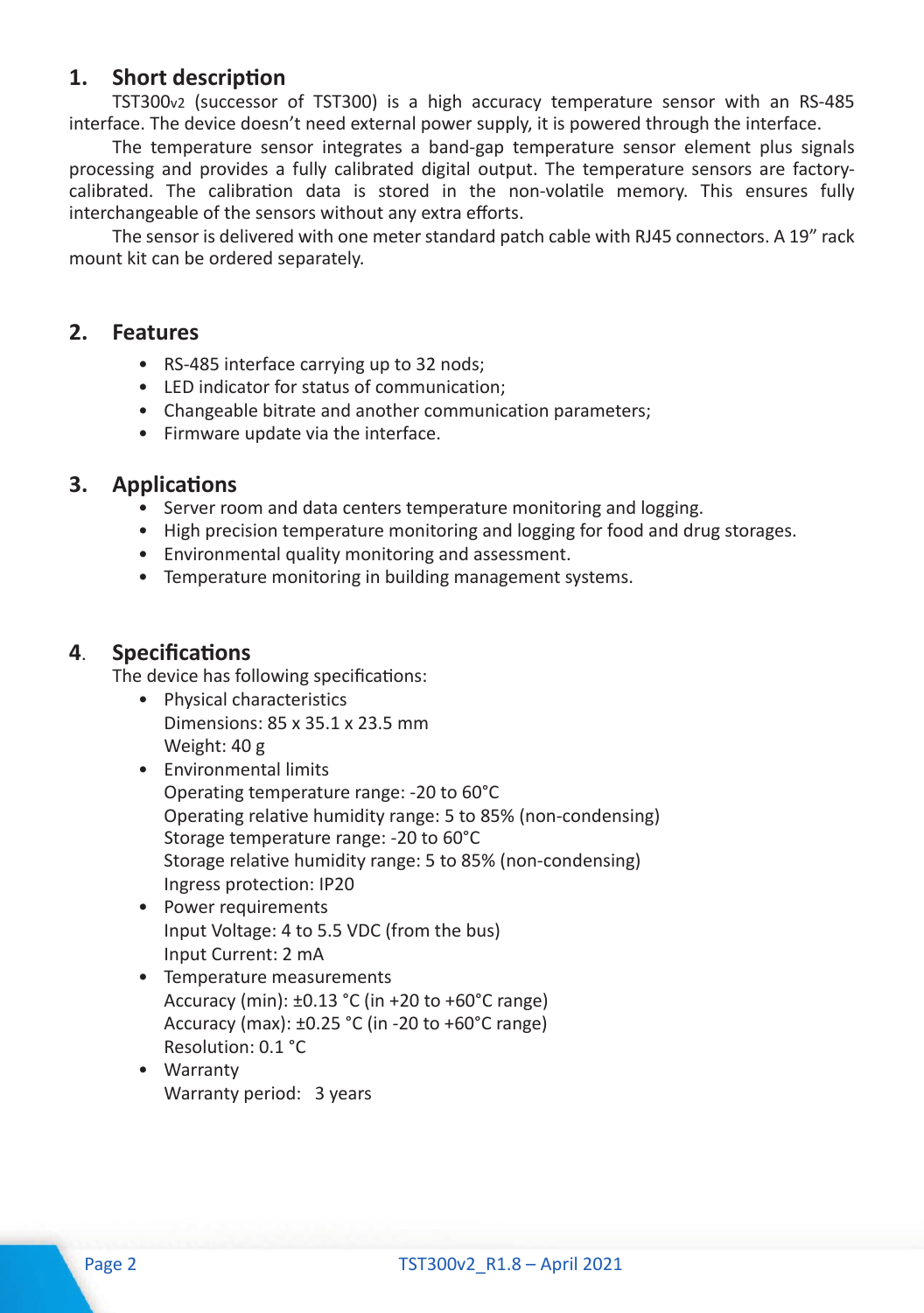#### **1. Short description**

TST300v2 (successor of TST300) is a high accuracy temperature sensor with an RS-485 interface. The device doesn't need external power supply, it is powered through the interface.

The temperature sensor integrates a band-gap temperature sensor element plus signals processing and provides a fully calibrated digital output. The temperature sensors are factorycalibrated. The calibration data is stored in the non-volatile memory. This ensures fully interchangeable of the sensors without any extra efforts.

The sensor is delivered with one meter standard patch cable with RJ45 connectors. A 19" rack mount kit can be ordered separately.

### **2. Features**

- RS-485 interface carrying up to 32 nods;
- LED indicator for status of communication;
- Changeable bitrate and another communication parameters;
- Firmware update via the interface.

#### **3. Applications**

- Server room and data centers temperature monitoring and logging.
- High precision temperature monitoring and logging for food and drug storages.
- Environmental quality monitoring and assessment.
- Temperature monitoring in building management systems.

#### **4**. **Specifications**

The device has following specifications:

- Physical characteristics Dimensions: 85 x 35.1 x 23.5 mm Weight: 40 g
- Environmental limits Operating temperature range: -20 to 60°C Operating relative humidity range: 5 to 85% (non-condensing) Storage temperature range: -20 to 60°C Storage relative humidity range: 5 to 85% (non-condensing) Ingress protection: IP20
- Power requirements Input Voltage: 4 to 5.5 VDC (from the bus) Input Current: 2 mA
- Temperature measurements Accuracy (min): ±0.13 °C (in +20 to +60°C range) Accuracy (max): ±0.25 °C (in -20 to +60°C range) Resolution: 0.1 °C
- Warranty Warranty period: 3 years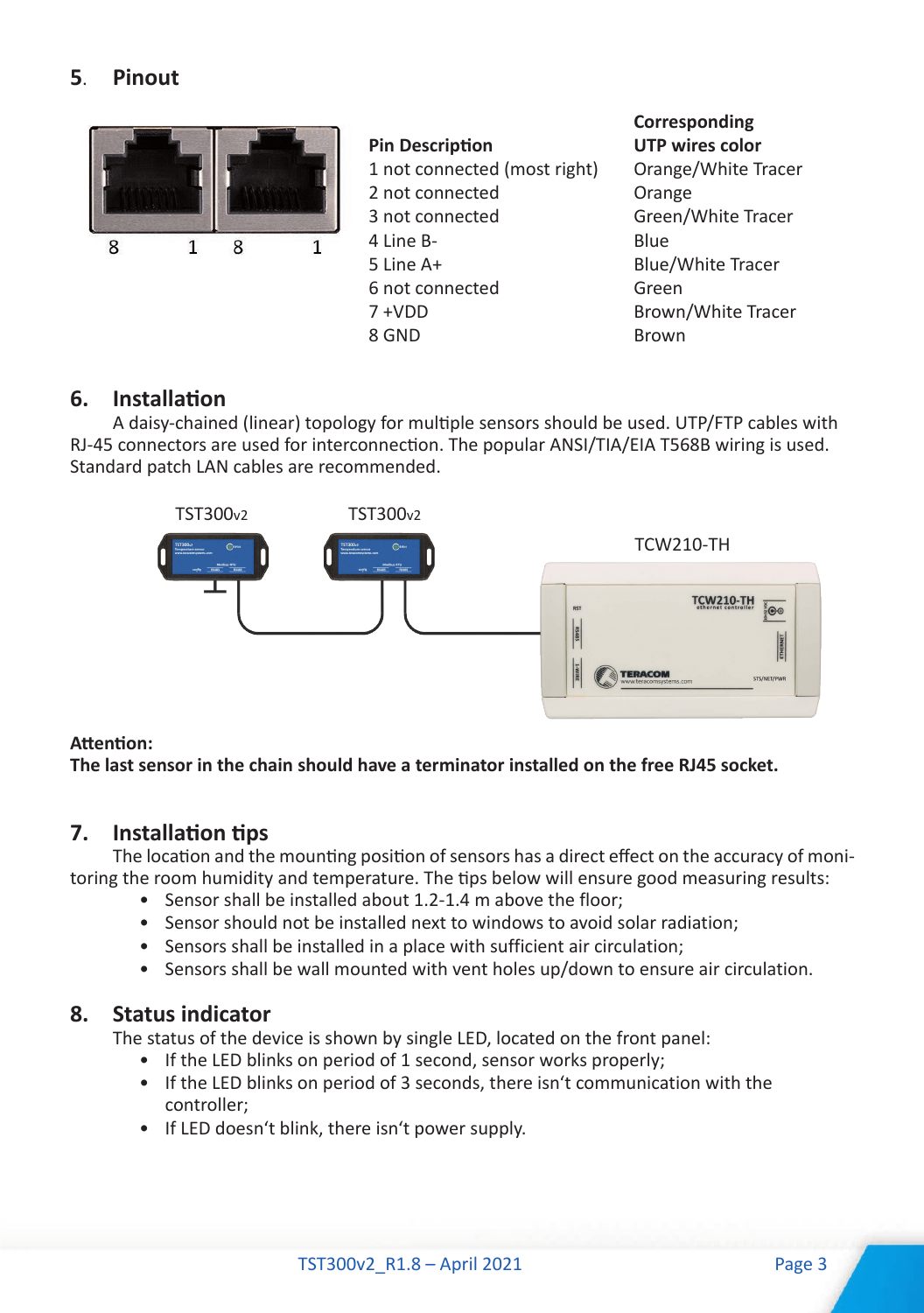|   |  |  |                              | Corresponding            |  |
|---|--|--|------------------------------|--------------------------|--|
|   |  |  | <b>Pin Description</b>       | <b>UTP wires color</b>   |  |
|   |  |  | 1 not connected (most right) | Orange/White Tracer      |  |
|   |  |  | 2 not connected              | Orange                   |  |
|   |  |  | 3 not connected              | Green/White Tracer       |  |
| 8 |  |  | 4 Line B-                    | Blue                     |  |
|   |  |  | 5 Line A+                    | <b>Blue/White Tracer</b> |  |
|   |  |  | 6 not connected              | Green                    |  |
|   |  |  | $7 + VDD$                    | Brown/White Tracer       |  |
|   |  |  | 8 GND                        | <b>Brown</b>             |  |

# **6. Installation**

A daisy-chained (linear) topology for multiple sensors should be used. UTP/FTP cables with RJ-45 connectors are used for interconnection. The popular ANSI/TIA/EIA T568B wiring is used. Standard patch LAN cables are recommended.



#### **Attention:**

**The last sensor in the chain should have a terminator installed on the free RJ45 socket.**

#### **7. Installation tips**

The location and the mounting position of sensors has a direct effect on the accuracy of monitoring the room humidity and temperature. The tips below will ensure good measuring results:

- Sensor shall be installed about 1.2-1.4 m above the floor;
- Sensor should not be installed next to windows to avoid solar radiation;
- Sensors shall be installed in a place with sufficient air circulation;
- Sensors shall be wall mounted with vent holes up/down to ensure air circulation.

## **8. Status indicator**

The status of the device is shown by single LED, located on the front panel:

- If the LED blinks on period of 1 second, sensor works properly;
- If the LED blinks on period of 3 seconds, there isn't communication with the controller;
- If LED doesn't blink, there isn't power supply.